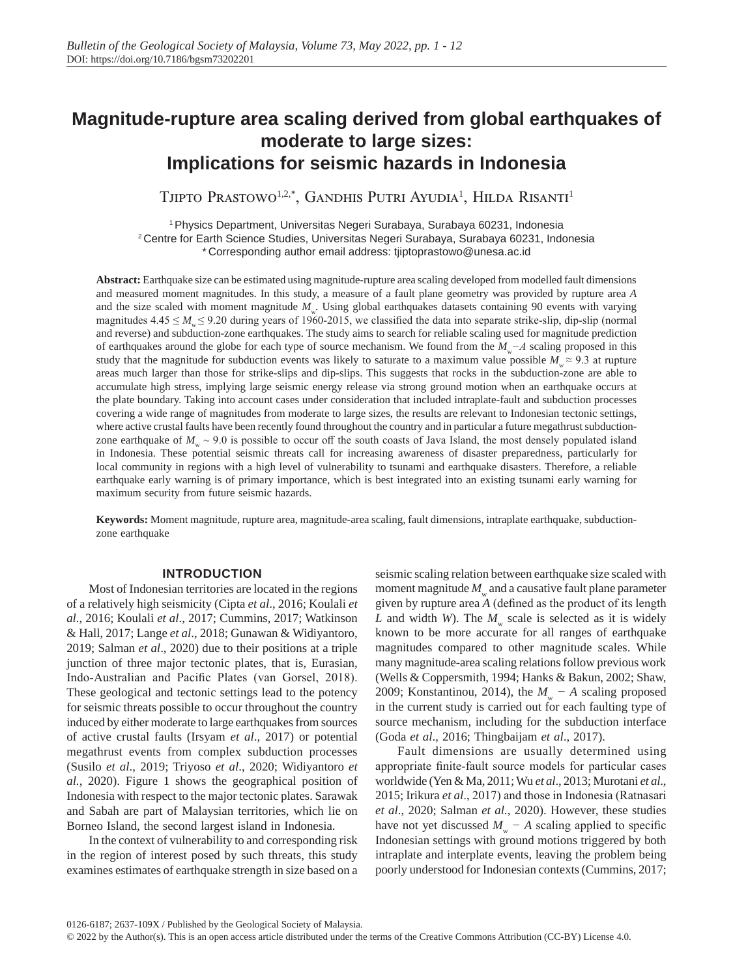# **Magnitude-rupture area scaling derived from global earthquakes of moderate to large sizes: Implications for seismic hazards in Indonesia**

Tjipto Prastowo<sup>1,2,\*</sup>, Gandhis Putri Ayudia<sup>1</sup>, Hilda Risanti<sup>1</sup>

1 Physics Department, Universitas Negeri Surabaya, Surabaya 60231, Indonesia 2 Centre for Earth Science Studies, Universitas Negeri Surabaya, Surabaya 60231, Indonesia \* Corresponding author email address: tjiptoprastowo@unesa.ac.id

**Abstract:** Earthquake size can be estimated using magnitude-rupture area scaling developed from modelled fault dimensions and measured moment magnitudes. In this study, a measure of a fault plane geometry was provided by rupture area *A* and the size scaled with moment magnitude  $M_{\omega}$ . Using global earthquakes datasets containing 90 events with varying magnitudes  $4.45 \le M_{\rm w} \le 9.20$  during years of 1960-2015, we classified the data into separate strike-slip, dip-slip (normal and reverse) and subduction-zone earthquakes. The study aims to search for reliable scaling used for magnitude prediction of earthquakes around the globe for each type of source mechanism. We found from the *M*w*−A* scaling proposed in this study that the magnitude for subduction events was likely to saturate to a maximum value possible  $M_{\nu} \approx 9.3$  at rupture areas much larger than those for strike-slips and dip-slips. This suggests that rocks in the subduction-zone are able to accumulate high stress, implying large seismic energy release via strong ground motion when an earthquake occurs at the plate boundary. Taking into account cases under consideration that included intraplate-fault and subduction processes covering a wide range of magnitudes from moderate to large sizes, the results are relevant to Indonesian tectonic settings, where active crustal faults have been recently found throughout the country and in particular a future megathrust subductionzone earthquake of  $M_w \sim 9.0$  is possible to occur off the south coasts of Java Island, the most densely populated island in Indonesia. These potential seismic threats call for increasing awareness of disaster preparedness, particularly for local community in regions with a high level of vulnerability to tsunami and earthquake disasters. Therefore, a reliable earthquake early warning is of primary importance, which is best integrated into an existing tsunami early warning for maximum security from future seismic hazards.

**Keywords:** Moment magnitude, rupture area, magnitude-area scaling, fault dimensions, intraplate earthquake, subductionzone earthquake

## **INTRODUCTION**

Most of Indonesian territories are located in the regions of a relatively high seismicity (Cipta *et al*., 2016; Koulali *et al.*, 2016; Koulali *et al*., 2017; Cummins, 2017; Watkinson & Hall, 2017; Lange *et al*., 2018; Gunawan & Widiyantoro, 2019; Salman *et al*., 2020) due to their positions at a triple junction of three major tectonic plates, that is, Eurasian, Indo-Australian and Pacific Plates (van Gorsel, 2018). These geological and tectonic settings lead to the potency for seismic threats possible to occur throughout the country induced by either moderate to large earthquakes from sources of active crustal faults (Irsyam *et al*., 2017) or potential megathrust events from complex subduction processes (Susilo *et al*., 2019; Triyoso *et al*., 2020; Widiyantoro *et al.*, 2020). Figure 1 shows the geographical position of Indonesia with respect to the major tectonic plates. Sarawak and Sabah are part of Malaysian territories, which lie on Borneo Island, the second largest island in Indonesia.

In the context of vulnerability to and corresponding risk in the region of interest posed by such threats, this study examines estimates of earthquake strength in size based on a seismic scaling relation between earthquake size scaled with moment magnitude  $M_{\mu}$  and a causative fault plane parameter given by rupture area *A* (defined as the product of its length  $L$  and width  $W$ ). The  $M_w$  scale is selected as it is widely known to be more accurate for all ranges of earthquake magnitudes compared to other magnitude scales. While many magnitude-area scaling relations follow previous work (Wells & Coppersmith, 1994; Hanks & Bakun, 2002; Shaw, 2009; Konstantinou, 2014), the  $M_w - A$  scaling proposed in the current study is carried out for each faulting type of source mechanism, including for the subduction interface (Goda *et al*., 2016; Thingbaijam *et al*., 2017).

Fault dimensions are usually determined using appropriate finite-fault source models for particular cases worldwide (Yen & Ma, 2011; Wu *et al*., 2013; Murotani *et al*., 2015; Irikura *et al*., 2017) and those in Indonesia (Ratnasari *et al*., 2020; Salman *et al.*, 2020). However, these studies have not yet discussed  $M_w - A$  scaling applied to specific Indonesian settings with ground motions triggered by both intraplate and interplate events, leaving the problem being poorly understood for Indonesian contexts (Cummins, 2017;

<sup>© 2022</sup> by the Author(s). This is an open access article distributed under the terms of the Creative Commons Attribution (CC-BY) License 4.0.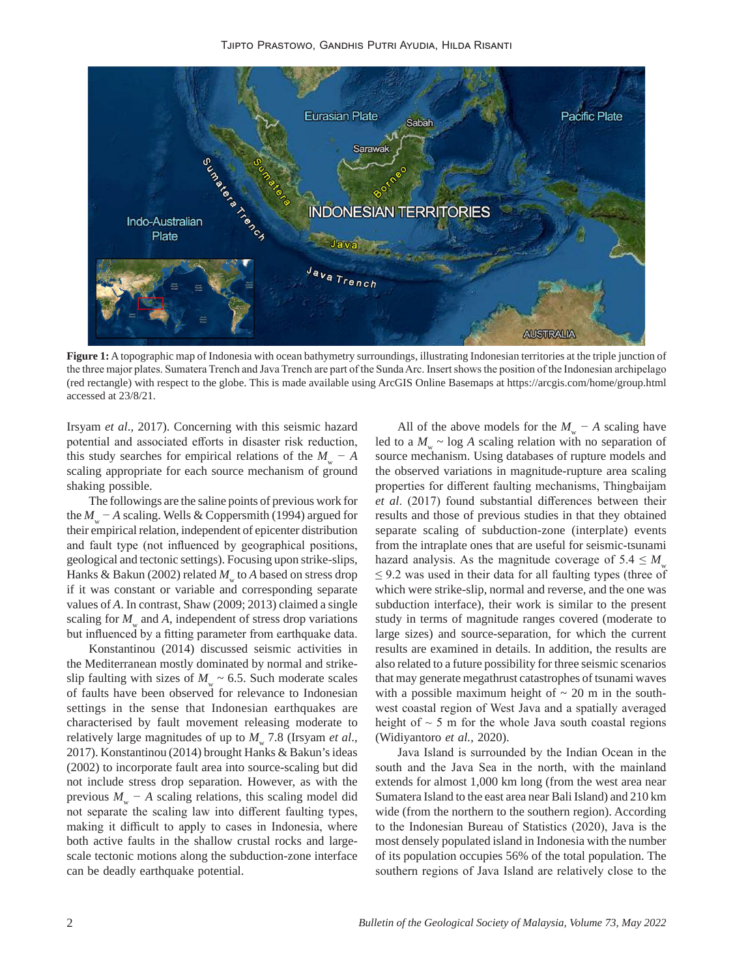

**Figure 1:** A topographic map of Indonesia with ocean bathymetry surroundings, illustrating Indonesian territories at the triple junction of the three major plates. Sumatera Trench and Java Trench are part of the Sunda Arc. Insert shows the position of the Indonesian archipelago (red rectangle) with respect to the globe. This is made available using ArcGIS Online Basemaps at https://arcgis.com/home/group.html accessed at 23/8/21.

Irsyam *et al*., 2017). Concerning with this seismic hazard potential and associated efforts in disaster risk reduction, this study searches for empirical relations of the  $M_w - A$ scaling appropriate for each source mechanism of ground shaking possible.

The followings are the saline points of previous work for the *M*<sub>w</sub> − *A* scaling. Wells & Coppersmith (1994) argued for their empirical relation, independent of epicenter distribution and fault type (not influenced by geographical positions, geological and tectonic settings). Focusing upon strike-slips, Hanks & Bakun (2002) related  $M_w$  to  $A$  based on stress drop if it was constant or variable and corresponding separate values of *A*. In contrast, Shaw (2009; 2013) claimed a single scaling for  $M_w$  and  $A$ , independent of stress drop variations but influenced by a fitting parameter from earthquake data.

Konstantinou (2014) discussed seismic activities in the Mediterranean mostly dominated by normal and strikeslip faulting with sizes of  $M_w \sim 6.5$ . Such moderate scales of faults have been observed for relevance to Indonesian settings in the sense that Indonesian earthquakes are characterised by fault movement releasing moderate to relatively large magnitudes of up to  $M_{w}$  7.8 (Irsyam *et al.*, 2017). Konstantinou (2014) brought Hanks & Bakun's ideas (2002) to incorporate fault area into source-scaling but did not include stress drop separation. However, as with the previous  $M_w - A$  scaling relations, this scaling model did not separate the scaling law into different faulting types, making it difficult to apply to cases in Indonesia, where both active faults in the shallow crustal rocks and largescale tectonic motions along the subduction-zone interface can be deadly earthquake potential.

All of the above models for the  $M_w - A$  scaling have led to a  $M_w \sim \log A$  scaling relation with no separation of source mechanism. Using databases of rupture models and the observed variations in magnitude-rupture area scaling properties for different faulting mechanisms, Thingbaijam *et al*. (2017) found substantial differences between their results and those of previous studies in that they obtained separate scaling of subduction-zone (interplate) events from the intraplate ones that are useful for seismic-tsunami hazard analysis. As the magnitude coverage of  $5.4 \leq M_{\odot}$  $\leq$  9.2 was used in their data for all faulting types (three of which were strike-slip, normal and reverse, and the one was subduction interface), their work is similar to the present study in terms of magnitude ranges covered (moderate to large sizes) and source-separation, for which the current results are examined in details. In addition, the results are also related to a future possibility for three seismic scenarios that may generate megathrust catastrophes of tsunami waves with a possible maximum height of  $\sim$  20 m in the southwest coastal region of West Java and a spatially averaged height of  $\sim$  5 m for the whole Java south coastal regions (Widiyantoro *et al.*, 2020).

Java Island is surrounded by the Indian Ocean in the south and the Java Sea in the north, with the mainland extends for almost 1,000 km long (from the west area near Sumatera Island to the east area near Bali Island) and 210 km wide (from the northern to the southern region). According to the Indonesian Bureau of Statistics (2020), Java is the most densely populated island in Indonesia with the number of its population occupies 56% of the total population. The southern regions of Java Island are relatively close to the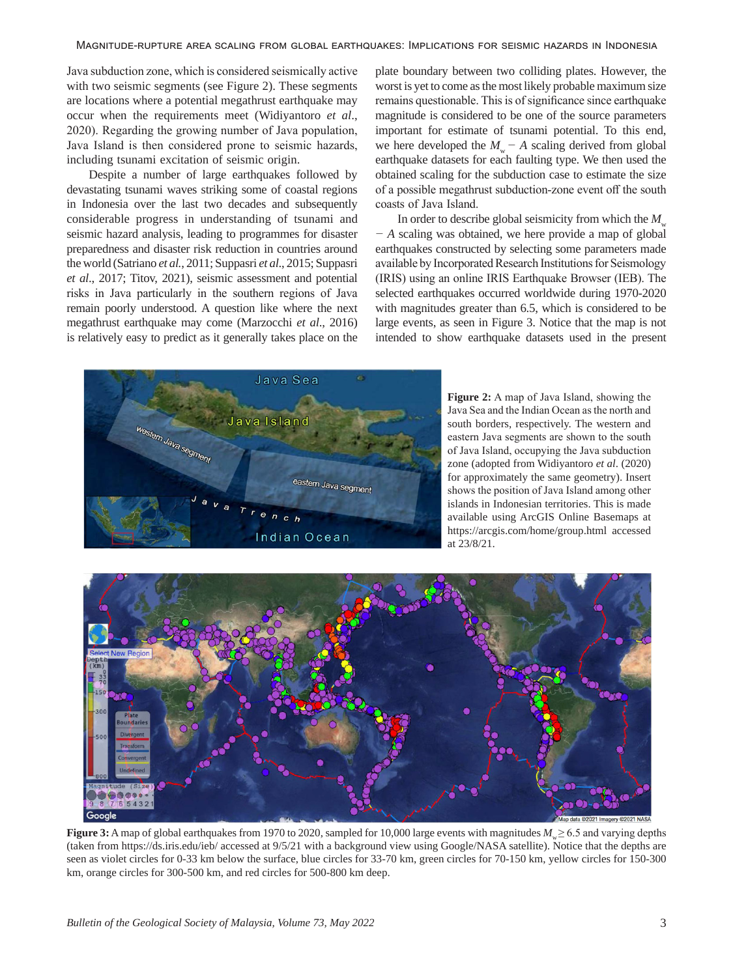Java subduction zone, which is considered seismically active with two seismic segments (see Figure 2). These segments are locations where a potential megathrust earthquake may occur when the requirements meet (Widiyantoro *et al*., 2020). Regarding the growing number of Java population, Java Island is then considered prone to seismic hazards, including tsunami excitation of seismic origin.

Despite a number of large earthquakes followed by devastating tsunami waves striking some of coastal regions in Indonesia over the last two decades and subsequently considerable progress in understanding of tsunami and seismic hazard analysis, leading to programmes for disaster preparedness and disaster risk reduction in countries around the world (Satriano *et al.*, 2011; Suppasri *et al*., 2015; Suppasri *et al*., 2017; Titov, 2021), seismic assessment and potential risks in Java particularly in the southern regions of Java remain poorly understood. A question like where the next megathrust earthquake may come (Marzocchi *et al*., 2016) is relatively easy to predict as it generally takes place on the

plate boundary between two colliding plates. However, the worst is yet to come as the most likely probable maximum size remains questionable. This is of significance since earthquake magnitude is considered to be one of the source parameters important for estimate of tsunami potential. To this end, we here developed the  $M_w - A$  scaling derived from global earthquake datasets for each faulting type. We then used the obtained scaling for the subduction case to estimate the size of a possible megathrust subduction-zone event off the south coasts of Java Island.

In order to describe global seismicity from which the *M*<sup>w</sup> *− A* scaling was obtained, we here provide a map of global earthquakes constructed by selecting some parameters made available by Incorporated Research Institutions for Seismology (IRIS) using an online IRIS Earthquake Browser (IEB). The selected earthquakes occurred worldwide during 1970-2020 with magnitudes greater than 6.5, which is considered to be large events, as seen in Figure 3. Notice that the map is not intended to show earthquake datasets used in the present



**Figure 2:** A map of Java Island, showing the Java Sea and the Indian Ocean as the north and south borders, respectively. The western and eastern Java segments are shown to the south of Java Island, occupying the Java subduction zone (adopted from Widiyantoro *et al*. (2020) for approximately the same geometry). Insert shows the position of Java Island among other islands in Indonesian territories. This is made available using ArcGIS Online Basemaps at https://arcgis.com/home/group.html accessed at 23/8/21.



**Figure 3:** A map of global earthquakes from 1970 to 2020, sampled for 10,000 large events with magnitudes *M*<sub>w</sub> ≥ 6.5 and varying depths (taken from https://ds.iris.edu/ieb/ accessed at 9/5/21 with a background view using Google/NASA satellite). Notice that the depths are seen as violet circles for 0-33 km below the surface, blue circles for 33-70 km, green circles for 70-150 km, yellow circles for 150-300 km, orange circles for 300-500 km, and red circles for 500-800 km deep.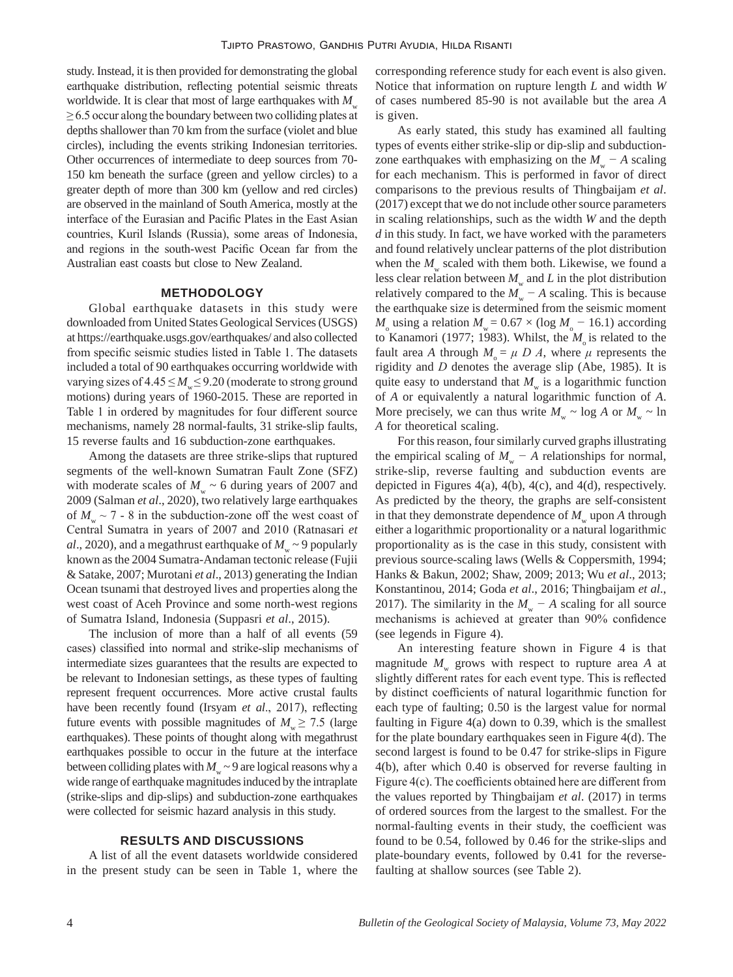study. Instead, it is then provided for demonstrating the global earthquake distribution, reflecting potential seismic threats worldwide. It is clear that most of large earthquakes with  $M_{\odot}$  $\geq$  6.5 occur along the boundary between two colliding plates at depths shallower than 70 km from the surface (violet and blue circles), including the events striking Indonesian territories. Other occurrences of intermediate to deep sources from 70- 150 km beneath the surface (green and yellow circles) to a greater depth of more than 300 km (yellow and red circles) are observed in the mainland of South America, mostly at the interface of the Eurasian and Pacific Plates in the East Asian countries, Kuril Islands (Russia), some areas of Indonesia, and regions in the south-west Pacific Ocean far from the Australian east coasts but close to New Zealand.

## **METHODOLOGY**

Global earthquake datasets in this study were downloaded from United States Geological Services (USGS) at https://earthquake.usgs.gov/earthquakes/ and also collected from specific seismic studies listed in Table 1. The datasets included a total of 90 earthquakes occurring worldwide with varying sizes of  $4.45 \leq M_{\odot} \leq 9.20$  (moderate to strong ground motions) during years of 1960-2015. These are reported in Table 1 in ordered by magnitudes for four different source mechanisms, namely 28 normal-faults, 31 strike-slip faults, 15 reverse faults and 16 subduction-zone earthquakes.

Among the datasets are three strike-slips that ruptured segments of the well-known Sumatran Fault Zone (SFZ) with moderate scales of  $M_w \sim 6$  during years of 2007 and 2009 (Salman *et al*., 2020), two relatively large earthquakes of  $M_w \sim 7 - 8$  in the subduction-zone off the west coast of Central Sumatra in years of 2007 and 2010 (Ratnasari *et al*., 2020), and a megathrust earthquake of  $M_w \sim 9$  popularly known as the 2004 Sumatra-Andaman tectonic release (Fujii & Satake, 2007; Murotani *et al*., 2013) generating the Indian Ocean tsunami that destroyed lives and properties along the west coast of Aceh Province and some north-west regions of Sumatra Island, Indonesia (Suppasri *et al*., 2015).

The inclusion of more than a half of all events (59 cases) classified into normal and strike-slip mechanisms of intermediate sizes guarantees that the results are expected to be relevant to Indonesian settings, as these types of faulting represent frequent occurrences. More active crustal faults have been recently found (Irsyam *et al*., 2017), reflecting future events with possible magnitudes of  $M_w \ge 7.5$  (large earthquakes). These points of thought along with megathrust earthquakes possible to occur in the future at the interface between colliding plates with  $M_w \sim 9$  are logical reasons why a wide range of earthquake magnitudes induced by the intraplate (strike-slips and dip-slips) and subduction-zone earthquakes were collected for seismic hazard analysis in this study.

## **RESULTS AND DISCUSSIONS**

A list of all the event datasets worldwide considered in the present study can be seen in Table 1, where the

corresponding reference study for each event is also given. Notice that information on rupture length *L* and width *W* of cases numbered 85-90 is not available but the area *A* is given.

As early stated, this study has examined all faulting types of events either strike-slip or dip-slip and subductionzone earthquakes with emphasizing on the  $M_w - A$  scaling for each mechanism. This is performed in favor of direct comparisons to the previous results of Thingbaijam *et al*. (2017) except that we do not include other source parameters in scaling relationships, such as the width *W* and the depth *d* in this study. In fact, we have worked with the parameters and found relatively unclear patterns of the plot distribution when the  $M_w$  scaled with them both. Likewise, we found a less clear relation between  $M_w$  and  $L$  in the plot distribution relatively compared to the  $M_w^{\prime\prime}$  − *A* scaling. This is because the earthquake size is determined from the seismic moment  $M_{\rm o}$  using a relation  $M_{\rm w} = 0.67 \times (\log M_{\rm o} - 16.1)$  according to Kanamori (1977; 1983). Whilst, the  $M<sub>o</sub>$  is related to the fault area *A* through  $M_{\odot} = \mu D A$ , where  $\mu$  represents the rigidity and *D* denotes the average slip (Abe, 1985). It is quite easy to understand that  $M_w$  is a logarithmic function of *A* or equivalently a natural logarithmic function of *A*. More precisely, we can thus write  $M_w \sim \log A$  or  $M_w \sim \ln A$ *A* for theoretical scaling.

For this reason, four similarly curved graphs illustrating the empirical scaling of  $M_w - A$  relationships for normal, strike-slip, reverse faulting and subduction events are depicted in Figures 4(a), 4(b), 4(c), and 4(d), respectively. As predicted by the theory, the graphs are self-consistent in that they demonstrate dependence of  $M_w$  upon  $A$  through either a logarithmic proportionality or a natural logarithmic proportionality as is the case in this study, consistent with previous source-scaling laws (Wells & Coppersmith, 1994; Hanks & Bakun, 2002; Shaw, 2009; 2013; Wu *et al*., 2013; Konstantinou, 2014; Goda *et al*., 2016; Thingbaijam *et al*., 2017). The similarity in the  $M_w - A$  scaling for all source mechanisms is achieved at greater than 90% confidence (see legends in Figure 4).

An interesting feature shown in Figure 4 is that magnitude  $M_w$  grows with respect to rupture area A at slightly different rates for each event type. This is reflected by distinct coefficients of natural logarithmic function for each type of faulting; 0.50 is the largest value for normal faulting in Figure 4(a) down to 0.39, which is the smallest for the plate boundary earthquakes seen in Figure 4(d). The second largest is found to be 0.47 for strike-slips in Figure 4(b), after which 0.40 is observed for reverse faulting in Figure 4(c). The coefficients obtained here are different from the values reported by Thingbaijam *et al*. (2017) in terms of ordered sources from the largest to the smallest. For the normal-faulting events in their study, the coefficient was found to be 0.54, followed by 0.46 for the strike-slips and plate-boundary events, followed by 0.41 for the reversefaulting at shallow sources (see Table 2).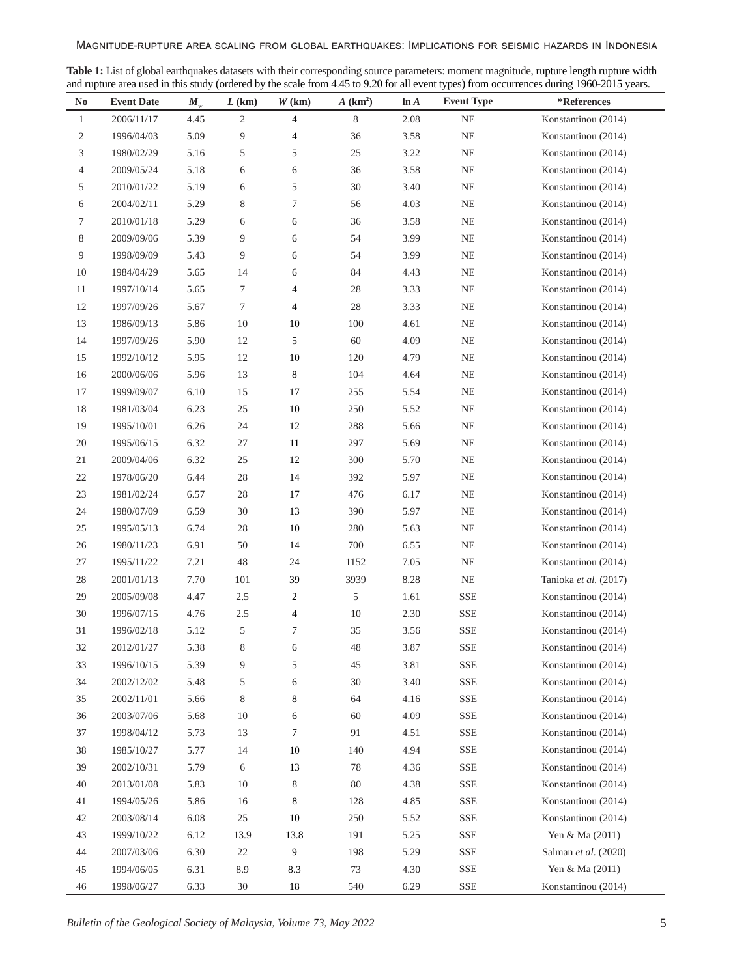Magnitude-rupture area scaling from global earthquakes: Implications for seismic hazards in Indonesia

| N <sub>0</sub> | <b>Event Date</b> | $M_{\rm w}$ | $L$ (km)       | W(km)                    | $A$ (km <sup>2</sup> ) | ln A | <b>Event Type</b> | *References           |
|----------------|-------------------|-------------|----------------|--------------------------|------------------------|------|-------------------|-----------------------|
| $\mathbf{1}$   | 2006/11/17        | 4.45        | $\overline{c}$ | $\overline{4}$           | 8                      | 2.08 | $\rm NE$          | Konstantinou (2014)   |
| 2              | 1996/04/03        | 5.09        | 9              | $\overline{\mathcal{L}}$ | 36                     | 3.58 | <b>NE</b>         | Konstantinou (2014)   |
| 3              | 1980/02/29        | 5.16        | 5              | 5                        | $25\,$                 | 3.22 | $\rm NE$          | Konstantinou (2014)   |
| 4              | 2009/05/24        | 5.18        | 6              | 6                        | 36                     | 3.58 | $\rm NE$          | Konstantinou (2014)   |
| 5              | 2010/01/22        | 5.19        | 6              | 5                        | 30                     | 3.40 | NE                | Konstantinou (2014)   |
| 6              | 2004/02/11        | 5.29        | 8              | 7                        | 56                     | 4.03 | $\rm NE$          | Konstantinou (2014)   |
| $\tau$         | 2010/01/18        | 5.29        | 6              | 6                        | 36                     | 3.58 | NE                | Konstantinou (2014)   |
| 8              | 2009/09/06        | 5.39        | 9              | 6                        | 54                     | 3.99 | NE                | Konstantinou (2014)   |
| 9              | 1998/09/09        | 5.43        | 9              | 6                        | 54                     | 3.99 | NE                | Konstantinou (2014)   |
| $10\,$         | 1984/04/29        | 5.65        | 14             | 6                        | 84                     | 4.43 | $\rm NE$          | Konstantinou (2014)   |
| $11\,$         | 1997/10/14        | 5.65        | 7              | 4                        | $28\,$                 | 3.33 | NE                | Konstantinou (2014)   |
| $12\,$         | 1997/09/26        | 5.67        | 7              | 4                        | $28\,$                 | 3.33 | <b>NE</b>         | Konstantinou (2014)   |
| 13             | 1986/09/13        | 5.86        | $10\,$         | 10                       | 100                    | 4.61 | $\rm NE$          | Konstantinou (2014)   |
| 14             | 1997/09/26        | 5.90        | $12\,$         | 5                        | 60                     | 4.09 | $\rm NE$          | Konstantinou (2014)   |
| 15             | 1992/10/12        | 5.95        | 12             | 10                       | 120                    | 4.79 | <b>NE</b>         | Konstantinou (2014)   |
| 16             | 2000/06/06        | 5.96        | 13             | 8                        | 104                    | 4.64 | NE                | Konstantinou (2014)   |
| 17             | 1999/09/07        | 6.10        | 15             | 17                       | 255                    | 5.54 | $\rm NE$          | Konstantinou (2014)   |
| $18\,$         | 1981/03/04        | 6.23        | 25             | 10                       | 250                    | 5.52 | NE                | Konstantinou (2014)   |
| 19             | 1995/10/01        | 6.26        | 24             | 12                       | 288                    | 5.66 | $\rm NE$          | Konstantinou (2014)   |
| 20             | 1995/06/15        | 6.32        | $27\,$         | 11                       | 297                    | 5.69 | <b>NE</b>         | Konstantinou (2014)   |
| 21             | 2009/04/06        | 6.32        | 25             | 12                       | 300                    | 5.70 | NE                | Konstantinou (2014)   |
| $22\,$         | 1978/06/20        | 6.44        | $28\,$         | 14                       | 392                    | 5.97 | $\rm NE$          | Konstantinou (2014)   |
| $23\,$         | 1981/02/24        | 6.57        | $28\,$         | 17                       | 476                    | 6.17 | <b>NE</b>         | Konstantinou (2014)   |
| 24             | 1980/07/09        | 6.59        | 30             | 13                       | 390                    | 5.97 | <b>NE</b>         | Konstantinou (2014)   |
| 25             | 1995/05/13        | 6.74        | 28             | 10                       | 280                    | 5.63 | <b>NE</b>         | Konstantinou (2014)   |
| 26             | 1980/11/23        | 6.91        | 50             | 14                       | 700                    | 6.55 | $\rm NE$          | Konstantinou (2014)   |
| 27             | 1995/11/22        | 7.21        | 48             | 24                       | 1152                   | 7.05 | NE                | Konstantinou (2014)   |
| $28\,$         | 2001/01/13        | 7.70        | 101            | 39                       | 3939                   | 8.28 | $\rm NE$          | Tanioka et al. (2017) |
| 29             | 2005/09/08        | 4.47        | $2.5\,$        | $\boldsymbol{2}$         | 5                      | 1.61 | <b>SSE</b>        | Konstantinou (2014)   |
| 30             | 1996/07/15        | 4.76        | 2.5            | 4                        | 10                     | 2.30 | ${\rm SSE}$       | Konstantinou (2014)   |
| 31             | 1996/02/18        | 5.12        | 5              | 7                        | 35                     | 3.56 | <b>SSE</b>        | Konstantinou (2014)   |
| 32             | 2012/01/27        | 5.38        | 8              | 6                        | 48                     | 3.87 | <b>SSE</b>        | Konstantinou (2014)   |
| 33             | 1996/10/15        | 5.39        | 9              | 5                        | 45                     | 3.81 | ${\rm SSE}$       | Konstantinou (2014)   |
| 34             | 2002/12/02        | 5.48        | 5              | 6                        | 30                     | 3.40 | <b>SSE</b>        | Konstantinou (2014)   |
| 35             | 2002/11/01        | 5.66        | 8              | $\,8$                    | 64                     | 4.16 | ${\rm SSE}$       | Konstantinou (2014)   |
| 36             | 2003/07/06        | 5.68        | $10\,$         | 6                        | 60                     | 4.09 | ${\rm SSE}$       | Konstantinou (2014)   |
| 37             | 1998/04/12        | 5.73        | 13             | 7                        | 91                     | 4.51 | <b>SSE</b>        | Konstantinou (2014)   |
| 38             | 1985/10/27        | 5.77        | 14             | 10                       | 140                    | 4.94 | <b>SSE</b>        | Konstantinou (2014)   |
| 39             | 2002/10/31        | 5.79        | 6              | 13                       | 78                     | 4.36 | ${\rm SSE}$       | Konstantinou (2014)   |
| 40             | 2013/01/08        | 5.83        | 10             | 8                        | 80                     | 4.38 | <b>SSE</b>        | Konstantinou (2014)   |
| 41             | 1994/05/26        | 5.86        | 16             | 8                        | 128                    | 4.85 | <b>SSE</b>        | Konstantinou (2014)   |
| 42             | 2003/08/14        | 6.08        | 25             | 10                       | 250                    | 5.52 | <b>SSE</b>        | Konstantinou (2014)   |
| 43             | 1999/10/22        | 6.12        | 13.9           | 13.8                     | 191                    | 5.25 | <b>SSE</b>        | Yen & Ma (2011)       |
| 44             | 2007/03/06        | 6.30        | 22             | 9                        | 198                    | 5.29 | <b>SSE</b>        | Salman et al. (2020)  |
| 45             | 1994/06/05        | 6.31        | 8.9            | 8.3                      | 73                     | 4.30 | <b>SSE</b>        | Yen & Ma (2011)       |
| 46             | 1998/06/27        | 6.33        | $30\,$         | $18\,$                   | 540                    | 6.29 | ${\rm SSE}$       | Konstantinou (2014)   |

**Table 1:** List of global earthquakes datasets with their corresponding source parameters: moment magnitude, rupture length rupture width and rupture area used in this study (ordered by the scale from 4.45 to 9.20 for all event types) from occurrences during 1960-2015 years.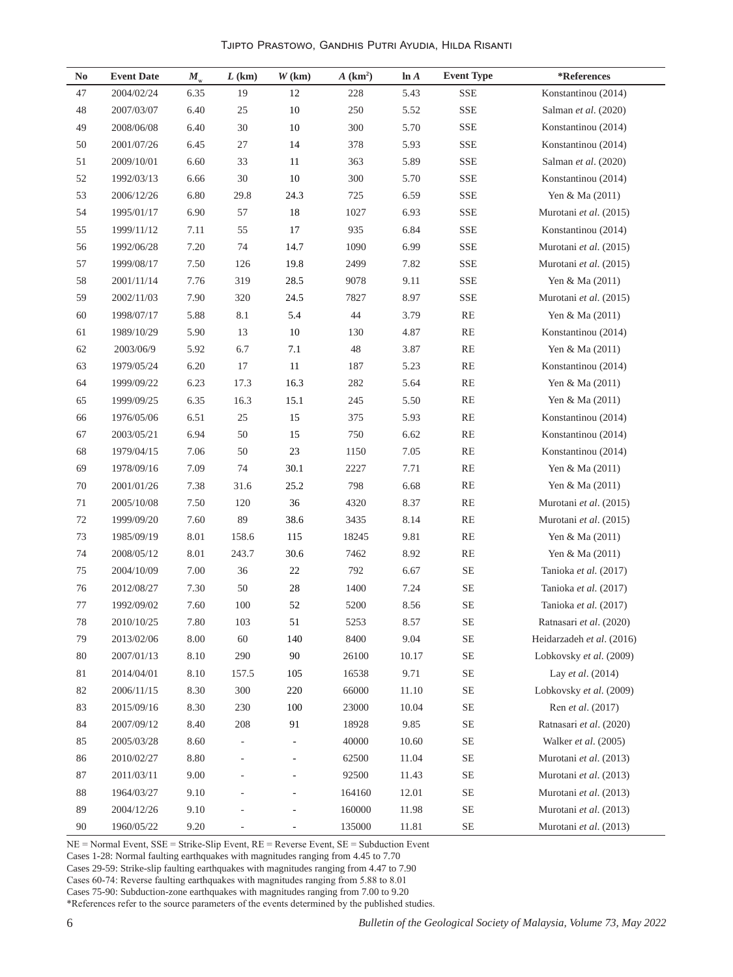| Tjipto Prastowo, Gandhis Putri Ayudia, Hilda Risanti |  |  |  |  |
|------------------------------------------------------|--|--|--|--|
|------------------------------------------------------|--|--|--|--|

| No     | <b>Event Date</b> | $M_{\rm w}$ | $L$ (km)       | W(km)                    | $A$ (km <sup>2</sup> ) | ln A  | <b>Event Type</b>        | *References               |
|--------|-------------------|-------------|----------------|--------------------------|------------------------|-------|--------------------------|---------------------------|
| 47     | 2004/02/24        | 6.35        | 19             | 12                       | 228                    | 5.43  | ${\rm SSE}$              | Konstantinou (2014)       |
| $48\,$ | 2007/03/07        | 6.40        | 25             | 10                       | 250                    | 5.52  | ${\rm SSE}$              | Salman et al. (2020)      |
| 49     | 2008/06/08        | 6.40        | 30             | 10                       | 300                    | 5.70  | <b>SSE</b>               | Konstantinou (2014)       |
| 50     | 2001/07/26        | 6.45        | 27             | 14                       | 378                    | 5.93  | ${\rm SSE}$              | Konstantinou (2014)       |
| 51     | 2009/10/01        | 6.60        | 33             | 11                       | 363                    | 5.89  | SSE                      | Salman et al. (2020)      |
| $52\,$ | 1992/03/13        | 6.66        | 30             | 10                       | 300                    | 5.70  | <b>SSE</b>               | Konstantinou (2014)       |
| 53     | 2006/12/26        | 6.80        | 29.8           | 24.3                     | 725                    | 6.59  | <b>SSE</b>               | Yen & Ma (2011)           |
| 54     | 1995/01/17        | 6.90        | 57             | 18                       | 1027                   | 6.93  | SSE                      | Murotani et al. (2015)    |
| 55     | 1999/11/12        | 7.11        | 55             | 17                       | 935                    | 6.84  | <b>SSE</b>               | Konstantinou (2014)       |
| 56     | 1992/06/28        | 7.20        | $74\,$         | 14.7                     | 1090                   | 6.99  | <b>SSE</b>               | Murotani et al. (2015)    |
| 57     | 1999/08/17        | 7.50        | 126            | 19.8                     | 2499                   | 7.82  | ${\rm SSE}$              | Murotani et al. (2015)    |
| 58     | 2001/11/14        | 7.76        | 319            | 28.5                     | 9078                   | 9.11  | ${\rm SSE}$              | Yen & Ma (2011)           |
| 59     | 2002/11/03        | 7.90        | 320            | 24.5                     | 7827                   | 8.97  | <b>SSE</b>               | Murotani et al. (2015)    |
| $60\,$ | 1998/07/17        | 5.88        | 8.1            | 5.4                      | 44                     | 3.79  | $\mathbb{R} \mathcal{E}$ | Yen & Ma (2011)           |
| 61     | 1989/10/29        | 5.90        | 13             | 10                       | 130                    | 4.87  | RE                       | Konstantinou (2014)       |
| 62     | 2003/06/9         | 5.92        | 6.7            | 7.1                      | 48                     | 3.87  | $\mathbb{R} \mathbb{E}$  | Yen & Ma (2011)           |
| 63     | 1979/05/24        | 6.20        | 17             | 11                       | 187                    | 5.23  | RE                       | Konstantinou (2014)       |
| 64     | 1999/09/22        | 6.23        | 17.3           | 16.3                     | 282                    | 5.64  | $\mathbb{R} \mathbb{E}$  | Yen & Ma (2011)           |
| 65     | 1999/09/25        | 6.35        | 16.3           | 15.1                     | 245                    | 5.50  | RE                       | Yen & Ma (2011)           |
| 66     | 1976/05/06        | 6.51        | 25             | 15                       | 375                    | 5.93  | $\mathbb{R} \mathcal{E}$ | Konstantinou (2014)       |
| 67     | 2003/05/21        | 6.94        | 50             | 15                       | 750                    | 6.62  | RE                       | Konstantinou (2014)       |
| 68     | 1979/04/15        | 7.06        | 50             | 23                       | 1150                   | 7.05  | RE                       | Konstantinou (2014)       |
| 69     | 1978/09/16        | 7.09        | $74\,$         | 30.1                     | 2227                   | 7.71  | $\mathbb{R} \mathbb{E}$  | Yen & Ma (2011)           |
| 70     | 2001/01/26        | 7.38        | 31.6           | 25.2                     | 798                    | 6.68  | RE                       | Yen & Ma (2011)           |
| 71     | 2005/10/08        | 7.50        | 120            | 36                       | 4320                   | 8.37  | $\mathbb{R} \mathcal{E}$ | Murotani et al. (2015)    |
| $72\,$ | 1999/09/20        | 7.60        | 89             | 38.6                     | 3435                   | 8.14  | $\mathbb{R} \mathbb{E}$  | Murotani et al. (2015)    |
| $73\,$ | 1985/09/19        | 8.01        | 158.6          | 115                      | 18245                  | 9.81  | RE                       | Yen & Ma (2011)           |
| $74\,$ | 2008/05/12        | 8.01        | 243.7          | 30.6                     | 7462                   | 8.92  | RE                       | Yen & Ma (2011)           |
| $75\,$ | 2004/10/09        | 7.00        | 36             | $22\,$                   | 792                    | 6.67  | $\rm SE$                 | Tanioka et al. (2017)     |
| 76     | 2012/08/27        | 7.30        | 50             | $28\,$                   | 1400                   | 7.24  | $\rm SE$                 | Tanioka et al. (2017)     |
| 77     | 1992/09/02        | 7.60        | 100            | 52                       | 5200                   | 8.56  | $\rm SE$                 | Tanioka et al. (2017)     |
| $78\,$ | 2010/10/25        | 7.80        | 103            | $51\,$                   | 5253                   | 8.57  | <b>SE</b>                | Ratnasari et al. (2020)   |
| 79     | 2013/02/06        | 8.00        | 60             | 140                      | 8400                   | 9.04  | <b>SE</b>                | Heidarzadeh et al. (2016) |
| 80     | 2007/01/13        | 8.10        | 290            | 90                       | 26100                  | 10.17 | <b>SE</b>                | Lobkovsky et al. (2009)   |
| 81     | 2014/04/01        | 8.10        | 157.5          | 105                      | 16538                  | 9.71  | <b>SE</b>                | Lay et al. (2014)         |
| 82     | 2006/11/15        | 8.30        | 300            | 220                      | 66000                  | 11.10 | <b>SE</b>                | Lobkovsky et al. (2009)   |
| 83     | 2015/09/16        | 8.30        | 230            | 100                      | 23000                  | 10.04 | <b>SE</b>                | Ren et al. (2017)         |
| 84     | 2007/09/12        | 8.40        | 208            | 91                       | 18928                  | 9.85  | <b>SE</b>                | Ratnasari et al. (2020)   |
| 85     | 2005/03/28        | 8.60        | $\overline{a}$ | $\overline{\phantom{a}}$ | 40000                  | 10.60 | $\rm SE$                 | Walker et al. (2005)      |
| 86     | 2010/02/27        | 8.80        |                |                          | 62500                  | 11.04 | $\rm SE$                 | Murotani et al. (2013)    |
| 87     | 2011/03/11        | 9.00        |                |                          | 92500                  | 11.43 | $\rm SE$                 | Murotani et al. (2013)    |
| 88     | 1964/03/27        | 9.10        |                | ä,                       | 164160                 | 12.01 | $\rm SE$                 | Murotani et al. (2013)    |
| 89     | 2004/12/26        | 9.10        |                |                          | 160000                 | 11.98 | $\rm SE$                 | Murotani et al. (2013)    |
| 90     | 1960/05/22        | 9.20        | $\overline{a}$ | ÷                        | 135000                 | 11.81 | $\rm SE$                 | Murotani et al. (2013)    |

NE = Normal Event, SSE = Strike-Slip Event, RE = Reverse Event, SE = Subduction Event

Cases 1-28: Normal faulting earthquakes with magnitudes ranging from 4.45 to 7.70

Cases 29-59: Strike-slip faulting earthquakes with magnitudes ranging from 4.47 to 7.90

Cases 60-74: Reverse faulting earthquakes with magnitudes ranging from 5.88 to 8.01

Cases 75-90: Subduction-zone earthquakes with magnitudes ranging from 7.00 to 9.20

\*References refer to the source parameters of the events determined by the published studies.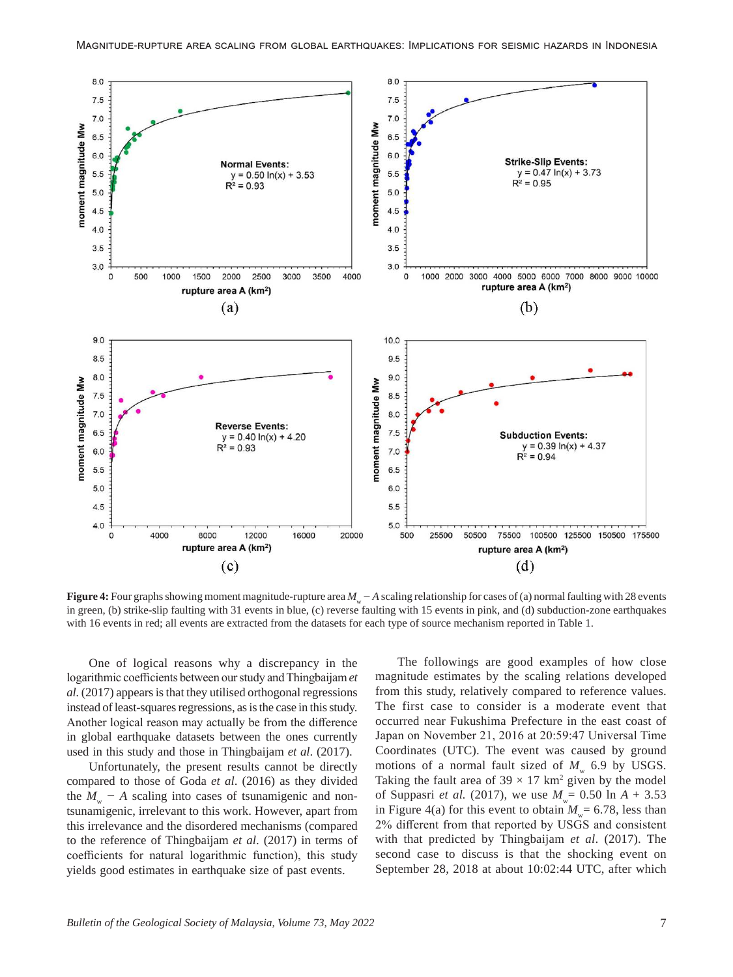

**Figure 4:** Four graphs showing moment magnitude-rupture area *M<sub>w</sub>* − *A* scaling relationship for cases of (a) normal faulting with 28 events in green, (b) strike-slip faulting with 31 events in blue, (c) reverse faulting with 15 events in pink, and (d) subduction-zone earthquakes with 16 events in red; all events are extracted from the datasets for each type of source mechanism reported in Table 1.

One of logical reasons why a discrepancy in the logarithmic coefficients between our study and Thingbaijam *et al.* (2017) appears is that they utilised orthogonal regressions instead of least-squares regressions, as is the case in this study. Another logical reason may actually be from the difference in global earthquake datasets between the ones currently used in this study and those in Thingbaijam *et al*. (2017).

Unfortunately, the present results cannot be directly compared to those of Goda *et al*. (2016) as they divided the  $M_w - A$  scaling into cases of tsunamigenic and nontsunamigenic, irrelevant to this work. However, apart from this irrelevance and the disordered mechanisms (compared to the reference of Thingbaijam *et al*. (2017) in terms of coefficients for natural logarithmic function), this study yields good estimates in earthquake size of past events.

The followings are good examples of how close magnitude estimates by the scaling relations developed from this study, relatively compared to reference values. The first case to consider is a moderate event that occurred near Fukushima Prefecture in the east coast of Japan on November 21, 2016 at 20:59:47 Universal Time Coordinates (UTC). The event was caused by ground motions of a normal fault sized of  $M_{\text{w}}$  6.9 by USGS. Taking the fault area of  $39 \times 17$  km<sup>2</sup> given by the model of Suppasri *et al.* (2017), we use  $M_v = 0.50 \ln A + 3.53$ in Figure 4(a) for this event to obtain  $M_v = 6.78$ , less than 2% different from that reported by USGS and consistent with that predicted by Thingbaijam *et al*. (2017). The second case to discuss is that the shocking event on September 28, 2018 at about 10:02:44 UTC, after which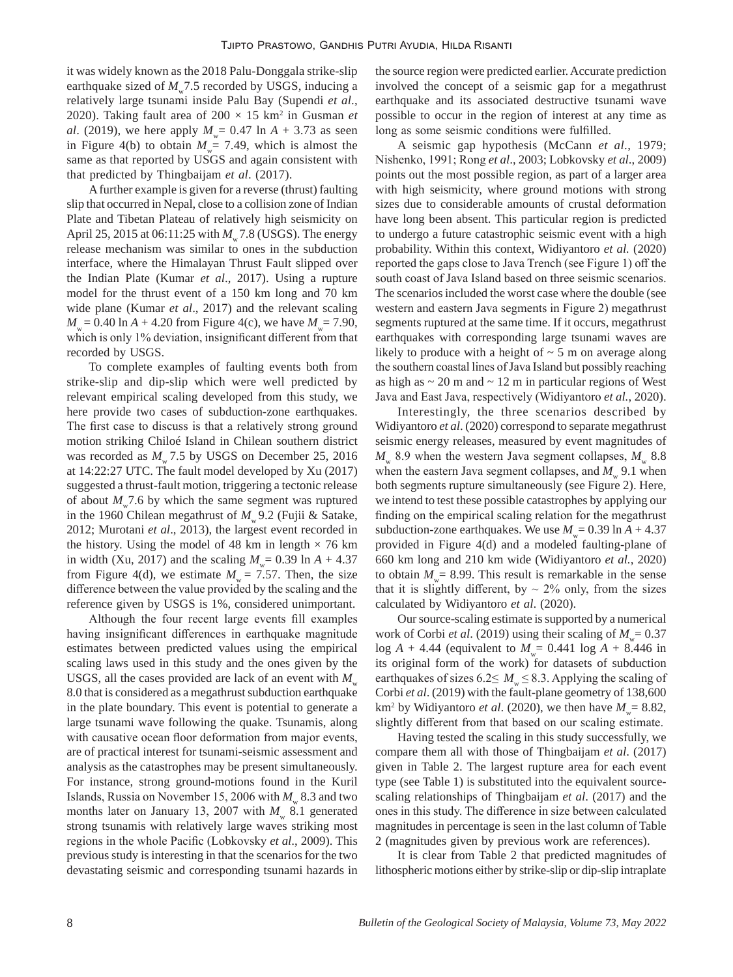it was widely known as the 2018 Palu-Donggala strike-slip earthquake sized of  $M_{w}$ 7.5 recorded by USGS, inducing a relatively large tsunami inside Palu Bay (Supendi *et al*., 2020). Taking fault area of  $200 \times 15$  km<sup>2</sup> in Gusman *et al*. (2019), we here apply  $M_w = 0.47 \ln A + 3.73$  as seen in Figure 4(b) to obtain  $M = 7.49$ , which is almost the same as that reported by USGS and again consistent with that predicted by Thingbaijam *et al*. (2017).

A further example is given for a reverse (thrust) faulting slip that occurred in Nepal, close to a collision zone of Indian Plate and Tibetan Plateau of relatively high seismicity on April 25, 2015 at 06:11:25 with *M*<sub>w</sub> 7.8 (USGS). The energy release mechanism was similar to ones in the subduction interface, where the Himalayan Thrust Fault slipped over the Indian Plate (Kumar *et al*., 2017). Using a rupture model for the thrust event of a 150 km long and 70 km wide plane (Kumar *et al*., 2017) and the relevant scaling  $M_w = 0.40 \ln A + 4.20$  from Figure 4(c), we have  $M_w = 7.90$ , which is only 1% deviation, insignificant different from that recorded by USGS.

To complete examples of faulting events both from strike-slip and dip-slip which were well predicted by relevant empirical scaling developed from this study, we here provide two cases of subduction-zone earthquakes. The first case to discuss is that a relatively strong ground motion striking Chiloé Island in Chilean southern district was recorded as  $M_{w}$  7.5 by USGS on December 25, 2016 at 14:22:27 UTC. The fault model developed by Xu (2017) suggested a thrust-fault motion, triggering a tectonic release of about  $M_{w}$ 7.6 by which the same segment was ruptured in the 1960 Chilean megathrust of *M*<sub>w</sub> 9.2 (Fujii & Satake, 2012; Murotani *et al*., 2013), the largest event recorded in the history. Using the model of 48 km in length  $\times$  76 km in width (Xu, 2017) and the scaling  $M_v = 0.39 \ln A + 4.37$ from Figure 4(d), we estimate  $M_w = 7.57$ . Then, the size difference between the value provided by the scaling and the reference given by USGS is 1%, considered unimportant.

Although the four recent large events fill examples having insignificant differences in earthquake magnitude estimates between predicted values using the empirical scaling laws used in this study and the ones given by the USGS, all the cases provided are lack of an event with  $M_w$ 8.0 that is considered as a megathrust subduction earthquake in the plate boundary. This event is potential to generate a large tsunami wave following the quake. Tsunamis, along with causative ocean floor deformation from major events, are of practical interest for tsunami-seismic assessment and analysis as the catastrophes may be present simultaneously. For instance, strong ground-motions found in the Kuril Islands, Russia on November 15, 2006 with  $M_{\nu}$  8.3 and two months later on January 13, 2007 with  $M_w$  8.1 generated strong tsunamis with relatively large waves striking most regions in the whole Pacific (Lobkovsky *et al*., 2009). This previous study is interesting in that the scenarios for the two devastating seismic and corresponding tsunami hazards in

the source region were predicted earlier. Accurate prediction involved the concept of a seismic gap for a megathrust earthquake and its associated destructive tsunami wave possible to occur in the region of interest at any time as long as some seismic conditions were fulfilled.

A seismic gap hypothesis (McCann *et al*., 1979; Nishenko, 1991; Rong *et al*., 2003; Lobkovsky *et al*., 2009) points out the most possible region, as part of a larger area with high seismicity, where ground motions with strong sizes due to considerable amounts of crustal deformation have long been absent. This particular region is predicted to undergo a future catastrophic seismic event with a high probability. Within this context, Widiyantoro *et al.* (2020) reported the gaps close to Java Trench (see Figure 1) off the south coast of Java Island based on three seismic scenarios. The scenarios included the worst case where the double (see western and eastern Java segments in Figure 2) megathrust segments ruptured at the same time. If it occurs, megathrust earthquakes with corresponding large tsunami waves are likely to produce with a height of  $\sim$  5 m on average along the southern coastal lines of Java Island but possibly reaching as high as  $\sim$  20 m and  $\sim$  12 m in particular regions of West Java and East Java, respectively (Widiyantoro *et al.*, 2020).

Interestingly, the three scenarios described by Widiyantoro *et al*. (2020) correspond to separate megathrust seismic energy releases, measured by event magnitudes of  $M_{\rm w}$  8.9 when the western Java segment collapses,  $M_{\rm w}$  8.8 when the eastern Java segment collapses, and  $M_{\text{w}}$  9.1 when both segments rupture simultaneously (see Figure 2). Here, we intend to test these possible catastrophes by applying our finding on the empirical scaling relation for the megathrust subduction-zone earthquakes. We use  $M = 0.39 \ln A + 4.37$ provided in Figure 4(d) and a modeled faulting-plane of 660 km long and 210 km wide (Widiyantoro *et al.*, 2020) to obtain  $M_w = 8.99$ . This result is remarkable in the sense that it is slightly different, by  $\sim$  2% only, from the sizes calculated by Widiyantoro *et al*. (2020).

Our source-scaling estimate is supported by a numerical work of Corbi *et al.* (2019) using their scaling of  $M = 0.37$  $\log A + 4.44$  (equivalent to  $M_v = 0.441 \log A + 8.446$  in its original form of the work) for datasets of subduction earthquakes of sizes  $6.2 \leq M_{\text{w}} \leq 8.3$ . Applying the scaling of Corbi *et al*. (2019) with the fault-plane geometry of 138,600 km<sup>2</sup> by Widiyantoro *et al.* (2020), we then have  $M_w = 8.82$ , slightly different from that based on our scaling estimate.

Having tested the scaling in this study successfully, we compare them all with those of Thingbaijam *et al*. (2017) given in Table 2. The largest rupture area for each event type (see Table 1) is substituted into the equivalent sourcescaling relationships of Thingbaijam *et al*. (2017) and the ones in this study. The difference in size between calculated magnitudes in percentage is seen in the last column of Table 2 (magnitudes given by previous work are references).

It is clear from Table 2 that predicted magnitudes of lithospheric motions either by strike-slip or dip-slip intraplate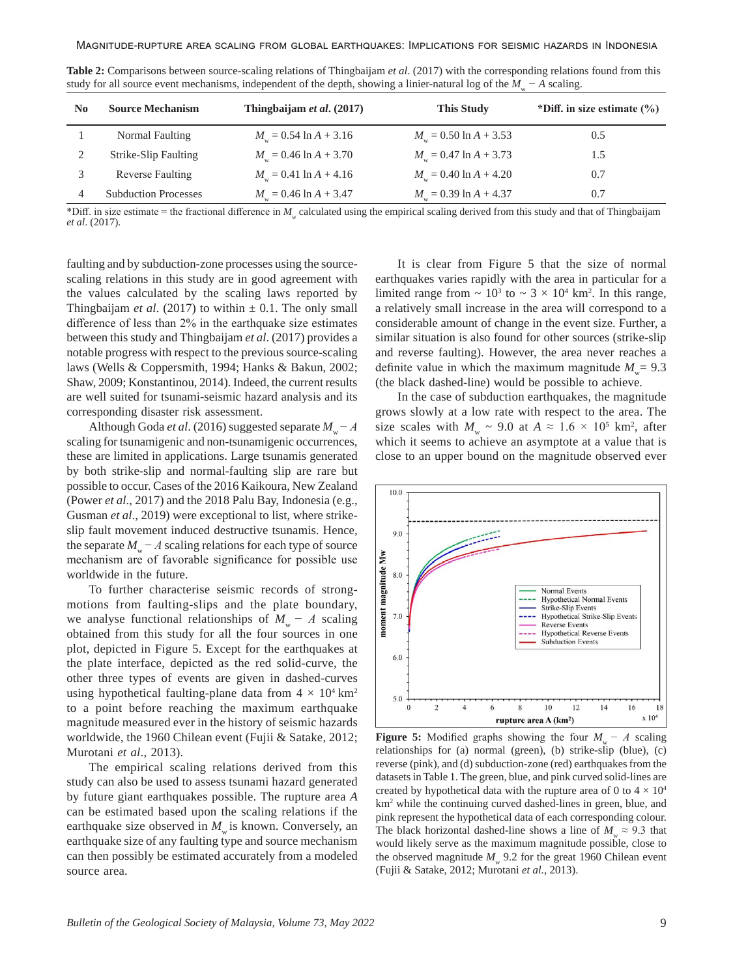| N <sub>0</sub> | <b>Source Mechanism</b>     | Thingbaijam et al. (2017)       | <b>This Study</b>               | *Diff. in size estimate $(\% )$ |
|----------------|-----------------------------|---------------------------------|---------------------------------|---------------------------------|
|                | Normal Faulting             | $M_{\rm w} = 0.54 \ln A + 3.16$ | $M_w = 0.50 \ln A + 3.53$       | 0.5                             |
|                | Strike-Slip Faulting        | $M_{\rm w}$ = 0.46 ln A + 3.70  | $M_{\rm w} = 0.47 \ln A + 3.73$ | 1.5                             |
|                | Reverse Faulting            | $M_{\rm w} = 0.41 \ln A + 4.16$ | $M_{\rm w}$ = 0.40 ln A + 4.20  | 0.7                             |
|                | <b>Subduction Processes</b> | $M_{\odot} = 0.46 \ln A + 3.47$ | $M_{\odot} = 0.39 \ln A + 4.37$ | 0.7                             |

**Table 2:** Comparisons between source-scaling relations of Thingbaijam *et al*. (2017) with the corresponding relations found from this study for all source event mechanisms, independent of the depth, showing a linier-natural log of the  $M_w$  − A scaling.

\*Diff. in size estimate = the fractional difference in  $M<sub>w</sub>$  calculated using the empirical scaling derived from this study and that of Thingbaijam *et al*. (2017).

faulting and by subduction-zone processes using the sourcescaling relations in this study are in good agreement with the values calculated by the scaling laws reported by Thingbaijam *et al.* (2017) to within  $\pm$  0.1. The only small difference of less than 2% in the earthquake size estimates between this study and Thingbaijam *et al*. (2017) provides a notable progress with respect to the previous source-scaling laws (Wells & Coppersmith, 1994; Hanks & Bakun, 2002; Shaw, 2009; Konstantinou, 2014). Indeed, the current results are well suited for tsunami-seismic hazard analysis and its corresponding disaster risk assessment.

Although Goda *et al.* (2016) suggested separate  $M_w - A$ scaling for tsunamigenic and non-tsunamigenic occurrences, these are limited in applications. Large tsunamis generated by both strike-slip and normal-faulting slip are rare but possible to occur. Cases of the 2016 Kaikoura, New Zealand (Power *et al*., 2017) and the 2018 Palu Bay, Indonesia (e.g., Gusman *et al*., 2019) were exceptional to list, where strikeslip fault movement induced destructive tsunamis. Hence, the separate  $M_{w} - A$  scaling relations for each type of source mechanism are of favorable significance for possible use worldwide in the future.

To further characterise seismic records of strongmotions from faulting-slips and the plate boundary, we analyse functional relationships of  $M_w - A$  scaling obtained from this study for all the four sources in one plot, depicted in Figure 5. Except for the earthquakes at the plate interface, depicted as the red solid-curve, the other three types of events are given in dashed-curves using hypothetical faulting-plane data from  $4 \times 10^4$  km<sup>2</sup> to a point before reaching the maximum earthquake magnitude measured ever in the history of seismic hazards worldwide, the 1960 Chilean event (Fujii & Satake, 2012; Murotani *et al*., 2013).

The empirical scaling relations derived from this study can also be used to assess tsunami hazard generated by future giant earthquakes possible. The rupture area *A* can be estimated based upon the scaling relations if the earthquake size observed in  $M_{w}$  is known. Conversely, an earthquake size of any faulting type and source mechanism can then possibly be estimated accurately from a modeled source area.

It is clear from Figure 5 that the size of normal earthquakes varies rapidly with the area in particular for a limited range from  $\sim 10^3$  to  $\sim 3 \times 10^4$  km<sup>2</sup>. In this range, a relatively small increase in the area will correspond to a considerable amount of change in the event size. Further, a similar situation is also found for other sources (strike-slip and reverse faulting). However, the area never reaches a definite value in which the maximum magnitude  $M_v = 9.3$ (the black dashed-line) would be possible to achieve.

In the case of subduction earthquakes, the magnitude grows slowly at a low rate with respect to the area. The size scales with  $M_{\text{w}} \sim 9.0$  at  $A \approx 1.6 \times 10^5$  km<sup>2</sup>, after which it seems to achieve an asymptote at a value that is close to an upper bound on the magnitude observed ever



**Figure 5:** Modified graphs showing the four  $M_w - A$  scaling relationships for (a) normal (green), (b) strike-slip (blue), (c) reverse (pink), and (d) subduction-zone (red) earthquakes from the datasets in Table 1. The green, blue, and pink curved solid-lines are created by hypothetical data with the rupture area of 0 to  $4 \times 10^4$ km2 while the continuing curved dashed-lines in green, blue, and pink represent the hypothetical data of each corresponding colour. The black horizontal dashed-line shows a line of  $M_{\nu} \approx 9.3$  that would likely serve as the maximum magnitude possible, close to the observed magnitude  $M_{w}$  9.2 for the great 1960 Chilean event (Fujii & Satake, 2012; Murotani *et al.*, 2013).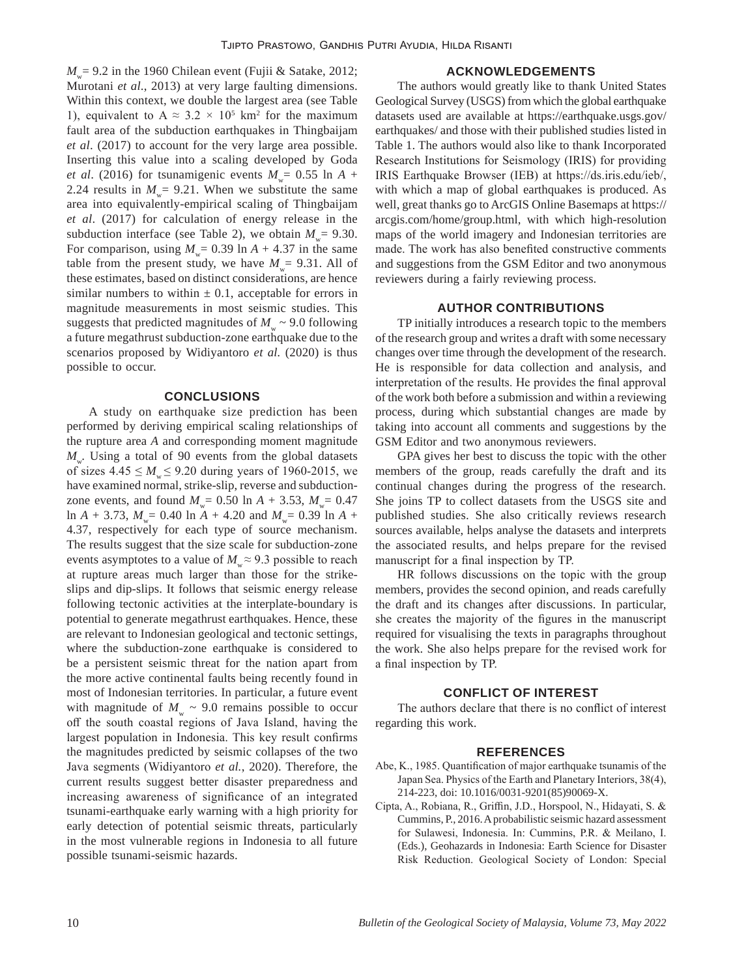$M_v = 9.2$  in the 1960 Chilean event (Fujii & Satake, 2012; Murotani *et al*., 2013) at very large faulting dimensions. Within this context, we double the largest area (see Table 1), equivalent to A  $\approx 3.2 \times 10^5$  km<sup>2</sup> for the maximum fault area of the subduction earthquakes in Thingbaijam *et al*. (2017) to account for the very large area possible. Inserting this value into a scaling developed by Goda *et al.* (2016) for tsunamigenic events  $M_w = 0.55$  ln  $A +$ 2.24 results in  $M_w = 9.21$ . When we substitute the same area into equivalently-empirical scaling of Thingbaijam *et al*. (2017) for calculation of energy release in the subduction interface (see Table 2), we obtain  $M_w = 9.30$ . For comparison, using  $M_v = 0.39 \ln A + 4.37$  in the same table from the present study, we have  $M_w = 9.31$ . All of these estimates, based on distinct considerations, are hence similar numbers to within  $\pm$  0.1, acceptable for errors in magnitude measurements in most seismic studies. This suggests that predicted magnitudes of  $M_w \sim 9.0$  following a future megathrust subduction-zone earthquake due to the scenarios proposed by Widiyantoro *et al.* (2020) is thus possible to occur.

# **CONCLUSIONS**

A study on earthquake size prediction has been performed by deriving empirical scaling relationships of the rupture area *A* and corresponding moment magnitude  $M_{\nu}$ . Using a total of 90 events from the global datasets of sizes  $4.45 \le M_{\rm w} \le 9.20$  during years of 1960-2015, we have examined normal, strike-slip, reverse and subductionzone events, and found  $M_w = 0.50 \ln A + 3.53$ ,  $M_w = 0.47$  $\ln A + 3.73$ ,  $M_w = 0.40 \ln A + 4.20$  and  $M_w = 0.39 \ln A +$ 4.37, respectively for each type of source mechanism. The results suggest that the size scale for subduction-zone events asymptotes to a value of  $M_{w} \approx 9.3$  possible to reach at rupture areas much larger than those for the strikeslips and dip-slips. It follows that seismic energy release following tectonic activities at the interplate-boundary is potential to generate megathrust earthquakes. Hence, these are relevant to Indonesian geological and tectonic settings, where the subduction-zone earthquake is considered to be a persistent seismic threat for the nation apart from the more active continental faults being recently found in most of Indonesian territories. In particular, a future event with magnitude of  $M_w \sim 9.0$  remains possible to occur off the south coastal regions of Java Island, having the largest population in Indonesia. This key result confirms the magnitudes predicted by seismic collapses of the two Java segments (Widiyantoro *et al.*, 2020). Therefore, the current results suggest better disaster preparedness and increasing awareness of significance of an integrated tsunami-earthquake early warning with a high priority for early detection of potential seismic threats, particularly in the most vulnerable regions in Indonesia to all future possible tsunami-seismic hazards.

#### **ACKNOWLEDGEMENTS**

The authors would greatly like to thank United States Geological Survey (USGS) from which the global earthquake datasets used are available at https://earthquake.usgs.gov/ earthquakes/ and those with their published studies listed in Table 1. The authors would also like to thank Incorporated Research Institutions for Seismology (IRIS) for providing IRIS Earthquake Browser (IEB) at https://ds.iris.edu/ieb/, with which a map of global earthquakes is produced. As well, great thanks go to ArcGIS Online Basemaps at https:// arcgis.com/home/group.html, with which high-resolution maps of the world imagery and Indonesian territories are made. The work has also benefited constructive comments and suggestions from the GSM Editor and two anonymous reviewers during a fairly reviewing process.

#### **AUTHOR CONTRIBUTIONS**

TP initially introduces a research topic to the members of the research group and writes a draft with some necessary changes over time through the development of the research. He is responsible for data collection and analysis, and interpretation of the results. He provides the final approval of the work both before a submission and within a reviewing process, during which substantial changes are made by taking into account all comments and suggestions by the GSM Editor and two anonymous reviewers.

GPA gives her best to discuss the topic with the other members of the group, reads carefully the draft and its continual changes during the progress of the research. She joins TP to collect datasets from the USGS site and published studies. She also critically reviews research sources available, helps analyse the datasets and interprets the associated results, and helps prepare for the revised manuscript for a final inspection by TP.

HR follows discussions on the topic with the group members, provides the second opinion, and reads carefully the draft and its changes after discussions. In particular, she creates the majority of the figures in the manuscript required for visualising the texts in paragraphs throughout the work. She also helps prepare for the revised work for a final inspection by TP.

## **CONFLICT OF INTEREST**

The authors declare that there is no conflict of interest regarding this work.

# **REFERENCES**

- Abe, K., 1985. Quantification of major earthquake tsunamis of the Japan Sea. Physics of the Earth and Planetary Interiors, 38(4), 214-223, doi: 10.1016/0031-9201(85)90069-X.
- Cipta, A., Robiana, R., Griffin, J.D., Horspool, N., Hidayati, S. & Cummins, P., 2016. A probabilistic seismic hazard assessment for Sulawesi, Indonesia. In: Cummins, P.R. & Meilano, I. (Eds.), Geohazards in Indonesia: Earth Science for Disaster Risk Reduction. Geological Society of London: Special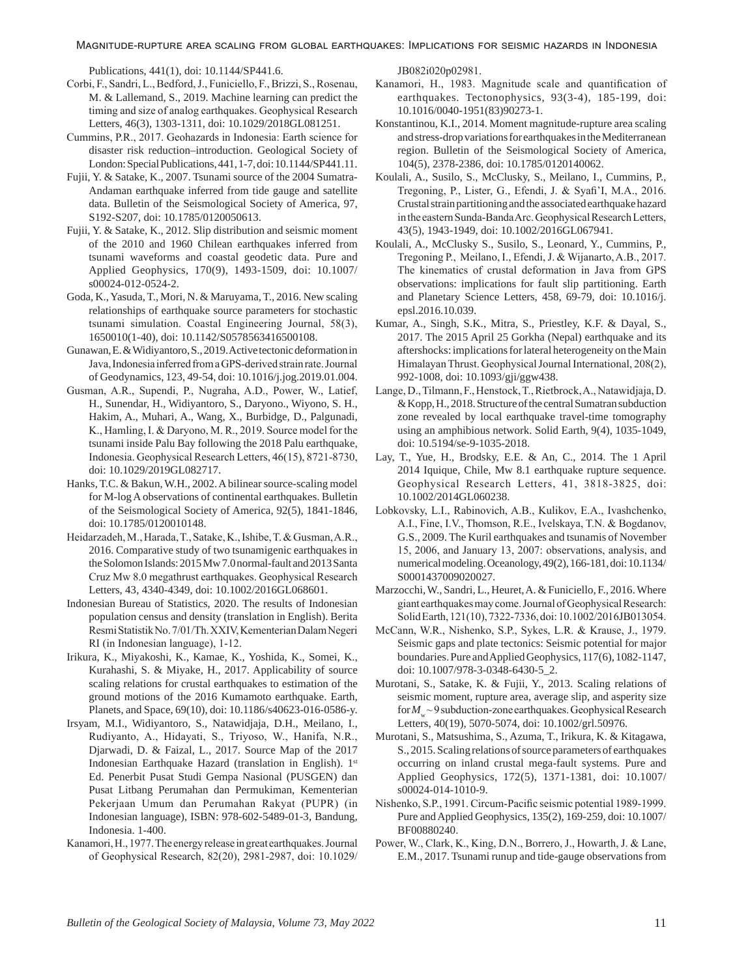#### Magnitude-rupture area scaling from global earthquakes: Implications for seismic hazards in Indonesia

Publications, 441(1), doi: 10.1144/SP441.6.

- Corbi, F., Sandri, L., Bedford, J., Funiciello, F., Brizzi, S., Rosenau, M. & Lallemand, S., 2019. Machine learning can predict the timing and size of analog earthquakes. Geophysical Research Letters, 46(3), 1303-1311, doi: 10.1029/2018GL081251.
- Cummins, P.R., 2017. Geohazards in Indonesia: Earth science for disaster risk reduction–introduction. Geological Society of London: Special Publications, 441, 1-7, doi: 10.1144/SP441.11.
- Fujii, Y. & Satake, K., 2007. Tsunami source of the 2004 Sumatra-Andaman earthquake inferred from tide gauge and satellite data. Bulletin of the Seismological Society of America, 97, S192-S207, doi: 10.1785/0120050613.
- Fujii, Y. & Satake, K., 2012. Slip distribution and seismic moment of the 2010 and 1960 Chilean earthquakes inferred from tsunami waveforms and coastal geodetic data. Pure and Applied Geophysics, 170(9), 1493-1509, doi: 10.1007/ s00024-012-0524-2.
- Goda, K., Yasuda, T., Mori, N. & Maruyama, T., 2016. New scaling relationships of earthquake source parameters for stochastic tsunami simulation. Coastal Engineering Journal, 58(3), 1650010(1-40), doi: 10.1142/S0578563416500108.
- Gunawan, E. & Widiyantoro, S., 2019. Active tectonic deformation in Java, Indonesia inferred from a GPS-derived strain rate. Journal of Geodynamics, 123, 49-54, doi: 10.1016/j.jog.2019.01.004.
- Gusman, A.R., Supendi, P., Nugraha, A.D., Power, W., Latief, H., Sunendar, H., Widiyantoro, S., Daryono., Wiyono, S. H., Hakim, A., Muhari, A., Wang, X., Burbidge, D., Palgunadi, K., Hamling, I. & Daryono, M. R., 2019. Source model for the tsunami inside Palu Bay following the 2018 Palu earthquake, Indonesia. Geophysical Research Letters, 46(15), 8721-8730, doi: 10.1029/2019GL082717.
- Hanks, T.C. & Bakun, W.H., 2002. A bilinear source-scaling model for M-log A observations of continental earthquakes. Bulletin of the Seismological Society of America, 92(5), 1841-1846, doi: 10.1785/0120010148.
- Heidarzadeh, M., Harada, T., Satake, K., Ishibe, T. & Gusman, A.R., 2016. Comparative study of two tsunamigenic earthquakes in the Solomon Islands: 2015 Mw 7.0 normal-fault and 2013 Santa Cruz Mw 8.0 megathrust earthquakes. Geophysical Research Letters, 43, 4340-4349, doi: 10.1002/2016GL068601.
- Indonesian Bureau of Statistics, 2020. The results of Indonesian population census and density (translation in English). Berita Resmi Statistik No. 7/01/Th. XXIV, Kementerian Dalam Negeri RI (in Indonesian language), 1-12.
- Irikura, K., Miyakoshi, K., Kamae, K., Yoshida, K., Somei, K., Kurahashi, S. & Miyake, H., 2017. Applicability of source scaling relations for crustal earthquakes to estimation of the ground motions of the 2016 Kumamoto earthquake. Earth, Planets, and Space, 69(10), doi: 10.1186/s40623-016-0586-y.
- Irsyam, M.I., Widiyantoro, S., Natawidjaja, D.H., Meilano, I., Rudiyanto, A., Hidayati, S., Triyoso, W., Hanifa, N.R., Djarwadi, D. & Faizal, L., 2017. Source Map of the 2017 Indonesian Earthquake Hazard (translation in English). 1st Ed. Penerbit Pusat Studi Gempa Nasional (PUSGEN) dan Pusat Litbang Perumahan dan Permukiman, Kementerian Pekerjaan Umum dan Perumahan Rakyat (PUPR) (in Indonesian language), ISBN: 978-602-5489-01-3, Bandung, Indonesia. 1-400.
- Kanamori, H., 1977. The energy release in great earthquakes. Journal of Geophysical Research, 82(20), 2981-2987, doi: 10.1029/

JB082i020p02981.

- Kanamori, H., 1983. Magnitude scale and quantification of earthquakes. Tectonophysics, 93(3-4), 185-199, doi: 10.1016/0040-1951(83)90273-1.
- Konstantinou, K.I., 2014. Moment magnitude-rupture area scaling and stress-drop variations for earthquakes in the Mediterranean region. Bulletin of the Seismological Society of America, 104(5), 2378-2386, doi: 10.1785/0120140062.
- Koulali, A., Susilo, S., McClusky, S., Meilano, I., Cummins, P., Tregoning, P., Lister, G., Efendi, J. & Syafi'I, M.A., 2016. Crustal strain partitioning and the associated earthquake hazard in the eastern Sunda-Banda Arc. Geophysical Research Letters, 43(5), 1943-1949, doi: 10.1002/2016GL067941.
- Koulali, A., McClusky S., Susilo, S., Leonard, Y., Cummins, P., Tregoning P., Meilano, I., Efendi, J. & Wijanarto, A.B., 2017. The kinematics of crustal deformation in Java from GPS observations: implications for fault slip partitioning. Earth and Planetary Science Letters, 458, 69-79, doi: 10.1016/j. epsl.2016.10.039.
- Kumar, A., Singh, S.K., Mitra, S., Priestley, K.F. & Dayal, S., 2017. The 2015 April 25 Gorkha (Nepal) earthquake and its aftershocks: implications for lateral heterogeneity on the Main Himalayan Thrust. Geophysical Journal International, 208(2), 992-1008, doi: 10.1093/gji/ggw438.
- Lange, D., Tilmann, F., Henstock, T., Rietbrock, A., Natawidjaja, D. & Kopp, H., 2018. Structure of the central Sumatran subduction zone revealed by local earthquake travel-time tomography using an amphibious network. Solid Earth, 9(4), 1035-1049, doi: 10.5194/se-9-1035-2018.
- Lay, T., Yue, H., Brodsky, E.E. & An, C., 2014. The 1 April 2014 Iquique, Chile, Mw 8.1 earthquake rupture sequence. Geophysical Research Letters, 41, 3818-3825, doi: 10.1002/2014GL060238.
- Lobkovsky, L.I., Rabinovich, A.B., Kulikov, E.A., Ivashchenko, A.I., Fine, I.V., Thomson, R.E., Ivelskaya, T.N. & Bogdanov, G.S., 2009. The Kuril earthquakes and tsunamis of November 15, 2006, and January 13, 2007: observations, analysis, and numerical modeling. Oceanology, 49(2), 166-181, doi: 10.1134/ S0001437009020027.
- Marzocchi, W., Sandri, L., Heuret, A. & Funiciello, F., 2016. Where giant earthquakes may come. Journal of Geophysical Research: Solid Earth, 121(10), 7322-7336, doi: 10.1002/2016JB013054.
- McCann, W.R., Nishenko, S.P., Sykes, L.R. & Krause, J., 1979. Seismic gaps and plate tectonics: Seismic potential for major boundaries. Pure and Applied Geophysics, 117(6), 1082-1147, doi: 10.1007/978-3-0348-6430-5\_2.
- Murotani, S., Satake, K. & Fujii, Y., 2013. Scaling relations of seismic moment, rupture area, average slip, and asperity size for *M*<sub>w</sub> ~ 9 subduction-zone earthquakes. Geophysical Research Letters, 40(19), 5070-5074, doi: 10.1002/grl.50976.
- Murotani, S., Matsushima, S., Azuma, T., Irikura, K. & Kitagawa, S., 2015. Scaling relations of source parameters of earthquakes occurring on inland crustal mega-fault systems. Pure and Applied Geophysics, 172(5), 1371-1381, doi: 10.1007/ s00024-014-1010-9.
- Nishenko, S.P., 1991. Circum-Pacific seismic potential 1989-1999. Pure and Applied Geophysics, 135(2), 169-259, doi: 10.1007/ BF00880240.
- Power, W., Clark, K., King, D.N., Borrero, J., Howarth, J. & Lane, E.M., 2017. Tsunami runup and tide-gauge observations from